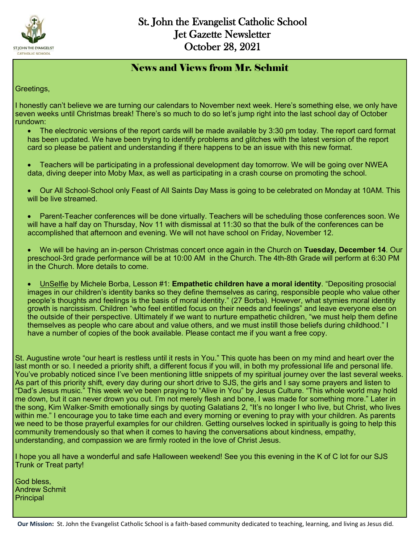

#### News and Views from Mr. Schmit

Greetings,

I honestly can't believe we are turning our calendars to November next week. Here's something else, we only have seven weeks until Christmas break! There's so much to do so let's jump right into the last school day of October rundown:

- The electronic versions of the report cards will be made available by 3:30 pm today. The report card format has been updated. We have been trying to identify problems and glitches with the latest version of the report card so please be patient and understanding if there happens to be an issue with this new format.
- Teachers will be participating in a professional development day tomorrow. We will be going over NWEA data, diving deeper into Moby Max, as well as participating in a crash course on promoting the school.
- Our All School-School only Feast of All Saints Day Mass is going to be celebrated on Monday at 10AM. This will be live streamed.
- Parent-Teacher conferences will be done virtually. Teachers will be scheduling those conferences soon. We will have a half day on Thursday, Nov 11 with dismissal at 11:30 so that the bulk of the conferences can be accomplished that afternoon and evening. We will not have school on Friday, November 12.
- We will be having an in-person Christmas concert once again in the Church on **Tuesday, December 14**. Our preschool-3rd grade performance will be at 10:00 AM in the Church. The 4th-8th Grade will perform at 6:30 PM in the Church. More details to come.
- UnSelfie by Michele Borba, Lesson #1: **Empathetic children have a moral identity**. "Depositing prosocial images in our children's identity banks so they define themselves as caring, responsible people who value other people's thoughts and feelings is the basis of moral identity." (27 Borba). However, what stymies moral identity growth is narcissism. Children "who feel entitled focus on their needs and feelings" and leave everyone else on the outside of their perspective. Ultimately if we want to nurture empathetic children, "we must help them define themselves as people who care about and value others, and we must instill those beliefs during childhood." I have a number of copies of the book available. Please contact me if you want a free copy.

St. Augustine wrote "our heart is restless until it rests in You." This quote has been on my mind and heart over the last month or so. I needed a priority shift, a different focus if you will, in both my professional life and personal life. You've probably noticed since I've been mentioning little snippets of my spiritual journey over the last several weeks. As part of this priority shift, every day during our short drive to SJS, the girls and I say some prayers and listen to "Dad's Jesus music." This week we've been praying to "Alive in You" by Jesus Culture. "This whole world may hold me down, but it can never drown you out. I'm not merely flesh and bone, I was made for something more." Later in the song, Kim Walker-Smith emotionally sings by quoting Galatians 2, "It's no longer I who live, but Christ, who lives within me." I encourage you to take time each and every morning or evening to pray with your children. As parents we need to be those prayerful examples for our children. Getting ourselves locked in spiritually is going to help this community tremendously so that when it comes to having the conversations about kindness, empathy, understanding, and compassion we are firmly rooted in the love of Christ Jesus.

I hope you all have a wonderful and safe Halloween weekend! See you this evening in the K of C lot for our SJS Trunk or Treat party!

God bless, Andrew Schmit **Principal**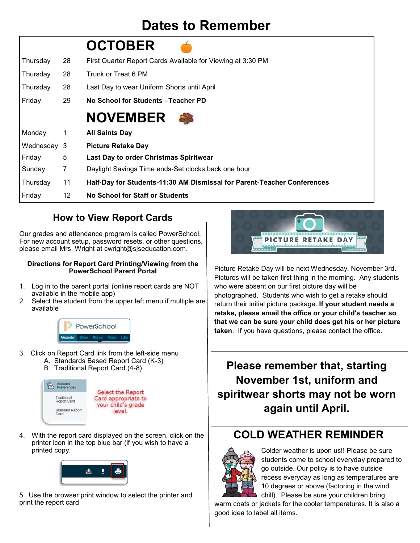### **Dates to Remember**

|             |              | <b>OCTOBER</b>                                                          |
|-------------|--------------|-------------------------------------------------------------------------|
| Thursday    | 28           | First Quarter Report Cards Available for Viewing at 3:30 PM             |
| Thursday    | 28           | Trunk or Treat 6 PM                                                     |
| Thursday    | 28           | Last Day to wear Uniform Shorts until April                             |
| Friday      | 29           | No School for Students - Teacher PD                                     |
|             |              | <b>NOVEMBER</b>                                                         |
| Monday      | $\mathbf{1}$ | <b>All Saints Day</b>                                                   |
| Wednesday 3 |              | <b>Picture Retake Day</b>                                               |
| Friday      | 5            | Last Day to order Christmas Spiritwear                                  |
| Sunday      | 7            | Daylight Savings Time ends-Set clocks back one hour                     |
| Thursday    | 11           | Half-Day for Students-11:30 AM Dismissal for Parent-Teacher Conferences |
| Friday      | 12           | <b>No School for Staff or Students</b>                                  |

### **How to View Report Cards**

Our grades and attendance program is called PowerSchool. For new account setup, password resets, or other questions, please email Mrs. Wright at cwright@sjseducation.com.

#### **Directions for Report Card Printing/Viewing from the PowerSchool Parent Portal**

- 1. Log in to the parent portal (online report cards are NOT available in the mobile app)
- 2. Select the student from the upper left menu if multiple are available



- 3. Click on Report Card link from the left-side menu A. Standards Based Report Card (K-3)
	- B. Traditional Report Card (4-8)



4. With the report card displayed on the screen, click on the printer icon in the top blue bar (if you wish to have a printed copy.



5. Use the browser print window to select the printer and print the report card



Picture Retake Day will be next Wednesday, November 3rd. Pictures will be taken first thing in the morning. Any students who were absent on our first picture day will be photographed. Students who wish to get a retake should return their initial picture package. **If your student needs a retake, please email the office or your child's teacher so that we can be sure your child does get his or her picture taken**. If you have questions, please contact the office.

**Please remember that, starting November 1st, uniform and spiritwear shorts may not be worn again until April.** 

### **COLD WEATHER REMINDER**



Colder weather is upon us!! Please be sure students come to school everyday prepared to go outside. Our policy is to have outside recess everyday as long as temperatures are 10 degrees or above (factoring in the wind chill). Please be sure your children bring

warm coats or jackets for the cooler temperatures. It is also a good idea to label all items.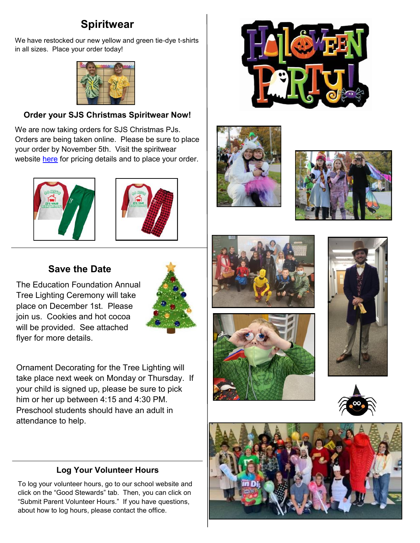### **Spiritwear**

We have restocked our new yellow and green tie-dye t-shirts in all sizes. Place your order today!



#### **Order your SJS Christmas Spiritwear Now!**

We are now taking orders for SJS Christmas PJs. Orders are being taken online. Please be sure to place your order by November 5th. Visit the spiritwear website [here](https://st-john-the-evangelist-catholic-spirit-wear.square.site/) for pricing details and to place your order.





#### **Save the Date**

The Education Foundation Annual Tree Lighting Ceremony will take place on December 1st. Please join us. Cookies and hot cocoa will be provided. See attached flyer for more details.



Ornament Decorating for the Tree Lighting will take place next week on Monday or Thursday. If your child is signed up, please be sure to pick him or her up between 4:15 and 4:30 PM. Preschool students should have an adult in attendance to help.

#### **Log Your Volunteer Hours**

To log your volunteer hours, go to our school website and click on the "Good Stewards" tab. Then, you can click on "Submit Parent Volunteer Hours." If you have questions, about how to log hours, please contact the office.















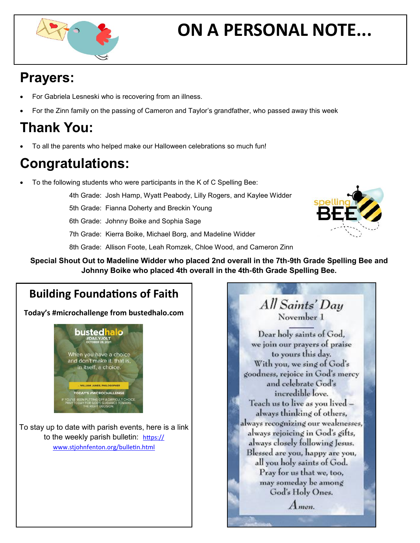

# **ON A PERSONAL NOTE...**

## **Prayers:**

- For Gabriela Lesneski who is recovering from an illness.
- For the Zinn family on the passing of Cameron and Taylor's grandfather, who passed away this week

# **Thank You:**

To all the parents who helped make our Halloween celebrations so much fun!

# **Congratulations:**

- To the following students who were participants in the K of C Spelling Bee:
	- 4th Grade: Josh Hamp, Wyatt Peabody, Lilly Rogers, and Kaylee Widder
	- 5th Grade: Fianna Doherty and Breckin Young
	- 6th Grade: Johnny Boike and Sophia Sage
	- 7th Grade: Kierra Boike, Michael Borg, and Madeline Widder
	- 8th Grade: Allison Foote, Leah Romzek, Chloe Wood, and Cameron Zinn
	- **Special Shout Out to Madeline Widder who placed 2nd overall in the 7th-9th Grade Spelling Bee and Johnny Boike who placed 4th overall in the 4th-6th Grade Spelling Bee.**

### **Building Foundations of Faith**

**Today's #microchallenge from bustedhalo.com**



To stay up to date with parish events, here is a link to the weekly parish bulletin: [https://](https://www.stjohnfenton.org/bulletin.html) [www.stjohnfenton.org/bulletin.html](https://www.stjohnfenton.org/bulletin.html)